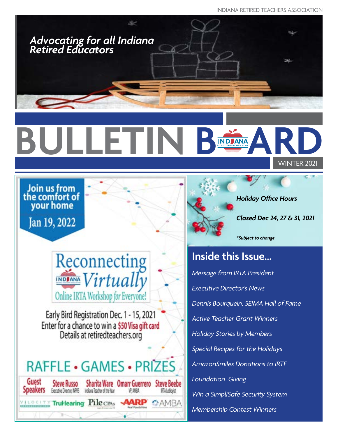INDIANA RETIRED TEACHERS ASSOCIATION



**BULLETIN B ARD** 

Join us from<br>the comfort of<br>your home Jan 19, 2022



Early Bird Registration Dec. 1 - 15, 2021 Enter for a chance to win a \$50 Visa gift card Details at retiredteachers.org

# RAFFLE · GAMES · PRIZES



*Holiday Office Hours*

*Closed Dec 24, 27 & 31, 2021*

WINTER 2021

*\*Subject to change*

# **Inside this Issue...**

*Message from IRTA President Executive Director's News Dennis Bourquein, SEIMA Hall of Fame Active Teacher Grant Winners Holiday Stories by Members Special Recipes for the Holidays AmazonSmiles Donations to IRTF Foundation Giving Win a SimpliSafe Security System Membership Contest Winners*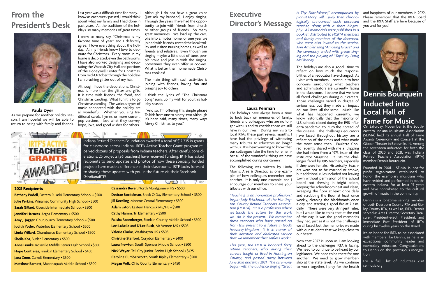# **From the President's Desk**



**Paula Dyer**

As we prepare for another holiday season, I am hopeful we will be able to return to being with family and friends.

Last year was a difficult time for many. I know as each week passed, I would think about what my family and I had done in past years. All the traditions of the holidays, so many memories of great times.

I know so many say, "Christmas is my favorite time of year" and I definitely agree. I love everything about the holiday. All my friends know I love to decorate for Christmas. Every room in my home is decorated, even the bathrooms. I have also worked designing and decorating the Wabash City Hall and portions of the Honeywell Center for Christmas. From mid-October through the holidays I am brushing glitter out of my hair.

Although I love the decorations, Christmas is more than the glitter and gifts. It is time with friends, the food, and Christmas caroling. What fun it is to go Christmas caroling. The various types of music connected with the holiday are all wonderful. Whether you sing traditional carols, hymns or more current, pop versions, I love what they convey: hope, love, and good wishes for others.

 $\mathbb{X}$ 

Although I do not have a great voice (just ask my husband), I enjoy singing. Through the years I have had the opportunity to join with friends from church or other groups of friends. So many great memories. We load up the cars, pile into a motor home, or one year we joined with friends, rented the local trolley and visited nursing homes, as well as friends and relatives. Even though our singing maybe a little out of tune, people smile and join in with the singing. Sometimes they even offer us cookies. What is better than homemade Christmas cookies!

The main thing with such activities is joining with friends, having fun and bringing joy to others.

I think the lyrics of "The Christmas Song" sums up my wish for you this holiday season.

 "And so, I'm offering this simple phrase To kids from one to ninety-two Although it's been said, many times, many ways Merry Christmas to you."

# --RTF'S ACTIV  $\triangleleft$ **TEACHER**  $\stackrel{++}{\scriptstyle \cdots}$ **GRANTS AWARDED!**

**2021 Recipients**

**Bethany Podell**, Eastern Pulaski Elementary School • \$500 **Julie Perkins**, Winamac Community High School • \$500 **Sarah Gillard**, Riverside Intermediate School • \$500 **Jennifer Harness**, Argos Elementary • \$500 **Amy J. Jagger**, Churubusco Elementary School • \$500 **Judith Yoder**, Waterloo Elementary School • \$500 **Linda Willard**, Churubusco Elementary School • \$500 **Sheila Kos**, Butler Elementary • \$500 **Anne Franke**, Rossville Middle Senior High School • \$500 **Hope Contreras**, Franklin Elementary School • \$450 Jana Conn, Carroll Elementary • \$500 **Matthew Barnett**, Maconaquah Middle School • \$500

**Cassandra Bever**, North Montgomery HS • \$500 **Desirae Bockelman**, Break O Day Elementary School • \$500 **Jill Keesling**, Monroe Central Elementary • \$500 **Adam Eaton**, Eastern Hancock MS/HS • \$500 **Cathy Hamm**, Tri Elementary • \$500 **Falisha Rosenberger**, Franklin County Middle School • \$500 **Lori LaBelle** and **D'Lee Rush**, Mt Vernon MS • \$505 **Valerie Clarke**, Washington HS • \$505 **Christine Stafford**, Corydon Elementary • \$400 **Laura Newton**, South Spencer Middle School • \$500 **Nick Weyer**, Tell City Junior-Senior High School • \$425 **Caroline Cumberworth**, South Ripley Elementary • \$500 **Megan Volk**, Ohio County Elementary • \$450

 $\nabla$ 

Indiana Retired Teachers Foundation awarded a total of \$12,235 in grants for classrooms across Indiana. IRTF's Active Teacher Grant program received dozens of proposals from Indiana teachers. After careful considerations, 25 projects (26 teachers) have received funding. IRTF has asked recipients to send updates and photos of how these specially funded projects have made a difference in their classrooms. IRTF looks forward to sharing these updates with you in the future via their Facebook @IndianaRTF!

 $\sim$ 

#### $\sim$   $\sqrt{2}$   $\sqrt{2}$  $7 =$

# **Executive Director's Message**



#### **Laura Penman**

The holidays have always been a time to look back on memories of family, friends and colleagues who are no longer with us and to cherish those we still have in our lives. During my visits to local RTAs these past several months, I have had the privilege of witnessing many tributes to educators no longer with us. It is heartwarming to know that our colleagues take the time to remember all of the wonderful things we have accomplished during our careers!

> For a full list of Inductees visit seimusic.org

The following was written by Linda Morris, Area 6 Director, as one example of how colleagues remember one another. It is only one example, and I encourage our members to share your tributes with our office.

*"Teaching is an honorable profession," began Judy Frischman of the Huntington County Retired Teachers Association (HCRTA). "It is a profession where we touch the future by the work we do in the present. We remember these teachers who have passed on from this present to a future in God's heavenly kingdom. It is in honor of their devotion and dedicated service that we remember their selfless work."* 

*This year, the HCRTA honored forty retired teachers, who during their careers taught or lived in Huntington County, and passed away between June 2018 and May 2021. The ceremony began with the audience singing "Great* 

*is Thy Faithfulness," accompanied by pianist Mary Sell. Judy then chronologically announced each deceased teacher, along with a short biography. All memorials were published in a booklet distributed to HCRTA members and family members of the deceased, who were also invited to the service. Ann Ambler sang "Amazing Grace" and the ceremony ended with group singing and the playing of "Taps" by Doug McElhaney.* 

The holidays are also a good time to reflect on how much the responsibilities of an educator have changed. As I visit with members, I continue to hear concerns surrounding what teachers and administrators are currently facing in the classroom. I believe that we have all faced challenges during our careers. Those challenges varied in degree of seriousness, but they made an impact on our lives all the same. Much like what has happened currently, we know historically that the majority of U.S. schools closed during the 1918 influenza pandemic to curb the spread of On Saturday, November 6, the Souththe disease. The challenges educators have faced throughout history are a reflection of the times and what made the most sense then. Paulette Conrad recently shared with me a clipping she had taken from a 1973 issue of the Instructor Magazine. It lists the challenges faced by 1915 teachers, especially if they were female. Historically teachers were not to be married or smoke, but additional rules included not leaving town without permission of the school board, not dressing in bright colors, keeping the schoolroom neat and clean, sweeping the floor at least once daily and scrubbing the floor at least once weekly, cleaning the blackboards once a day, and starting a good fire at 7 a.m. daily. These were very stringent rules, but I would like to think that at the end of the day, it was the good memories they had, just as it is not the challenges we all faced, but the memories we made with our students that we keep close to our hearts.

Now that 2022 is upon us, I am looking ahead to the challenges IRTA is facing. We need to continue to be heard by our legislators. We need to be there for one <mark>tion.</mark> another. We need to grow membership at the state level. As we continue to work together, I pray for the health

and happiness of our members in 2022. Please remember that the IRTA Board and the IRTA Staff are here because of you and for you!



# **Dennis Bourquein Inducted into Local Hall of Fame for Music**

eastern Indiana Musicians Association (SEIMA) held its annual Hall of Fame Awards Ceremony and Concert at the Gibson Theater in Batesville, IN. Among the seventeen inductees for both the class of 2020 and 2021, was Indiana Retired Teachers Association (IRTA) member Dennis Bourquein.

Founded in 2001, SEIMA is not-for profit organization established to honor the exemplary musicians who have resided and performed in southeastern Indiana, for at least 15 years and have contributed to the cultural growth of music in the community.

Dennis is a longtime serving member of both Dearborn County RTA and Ripley County RTA, as well as, IRTA. Dennis served as Area Director, Secretary-Treasurer, President-elect, President, and Immediate Past President of IRTA during his twelve years on the Board.

It's an honor for IRTA to be associated with members like Dennis, as he is an exceptional community leader and exemplary educator. Congratulations to Dennis on this prestigious recogni-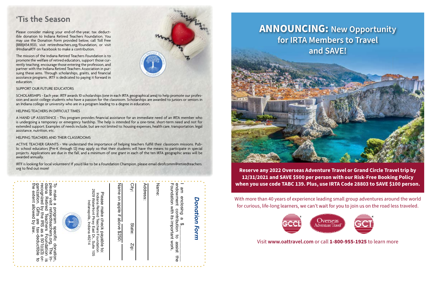| ganization. Gifts are tax<br>the extent allowed by law.<br>lo make a program specific donatic<br>please visit retiredteachers.org. The<br>diana Retired Teachers Foundation<br>recognized by the IRS as a 501(c)(3)<br>$\overline{\circ}$<br>2629 Watertront Prysy mast Dr., 2014<br>make<br>Please make<br>Please make check payable to:<br>Indiana Retired Teachers Foundation<br>Indianapolis, Indiana 46214<br>Gifts are<br>program specific<br>i as a 501(c)(3)<br>tax-deductible<br>donation,<br>$\frac{1}{2}$<br>ラー<br>$\vec{c}$<br>$\overline{5}$ | Name on apple if above \$250:<br>City:<br>State:<br>2i | Address:<br>Name: | endowment<br>Foundation with its important work.<br>am<br>enclosing<br>$\ddot{\phantom{0}}$<br><b>Donation Form</b><br>$\bullet$<br>$\bullet$<br>contribution<br>$\bullet$<br>.<br>ρ<br>↔<br>đ<br>assist<br>$\bullet$<br>the |
|-----------------------------------------------------------------------------------------------------------------------------------------------------------------------------------------------------------------------------------------------------------------------------------------------------------------------------------------------------------------------------------------------------------------------------------------------------------------------------------------------------------------------------------------------------------|--------------------------------------------------------|-------------------|------------------------------------------------------------------------------------------------------------------------------------------------------------------------------------------------------------------------------|
|-----------------------------------------------------------------------------------------------------------------------------------------------------------------------------------------------------------------------------------------------------------------------------------------------------------------------------------------------------------------------------------------------------------------------------------------------------------------------------------------------------------------------------------------------------------|--------------------------------------------------------|-------------------|------------------------------------------------------------------------------------------------------------------------------------------------------------------------------------------------------------------------------|

With more than 40 years of experience leading small group adventures around the world for curious, life-long learners, we can't wait for you to join us on the road less traveled.



# **ANNOUNCING: New Opportunity for IRTA Members to Travel and SAVE!**



Visit **www.oattravel.com** or call **1-800-955-1925** to learn more



**Reserve any 2022 Overseas Adventure Travel or Grand Circle Travel trip by 12/31/2021 and SAVE \$500 per person with our Risk-Free Booking Policy when you use code TABC 139. Plus, use IRTA Code 28803 to SAVE \$100 person.** 

# **'Tis the Season**

Please consider making your end-of-the-year, tax deductible donation to Indiana Retired Teachers Foundation. You may use the Donation Form provided below, call Toll Free (888)454.9333, visit retiredteachers.org/foundation, or visit @IndianaRTF on Facebook to make a contribution.

The mission of the Indiana Retired Teachers Foundation is to promote the welfare of retired educators, support those currently teaching, encourage those entering the profession, and partner with the Indiana Retired Teachers Association in pursuing these aims. Through scholarships, grants, and financial assistance programs, IRTF is dedicated to paying it forward in education.



#### SUPPORT OUR FUTURE EDUCATORS

SCHOLARSHIPS - Each year, IRTF awards 10 scholarships (one in each IRTA geographical area) to help promote our profession and assist college students who have a passion for the classroom. Scholarships are awarded to juniors or seniors in an Indiana college or university who are in a program leading to a degree in education.

#### HELPING TEACHERS IN DIFFICULT TIMES

A HAND UP ASSISTANCE - This program provides financial assistance for an immediate need of an IRTA member who is undergoing a temporary or emergency hardship. The help is intended for a one-time, short-term need and not for extended support. Examples of needs include, but are not limited to: housing expenses, health care, transportation, legal assistance, nutrition, etc.

#### HELPING TEACHERS AND THEIR CLASSROOMS

ACTIVE TEACHER GRANTS - We understand the importance of helping teachers fulfill their classroom missions. Public school educators (Pre-K through 12) may apply so that their students will have the means to participate in special projects. Applications are due in the fall, and a minimum of one grant in each of the ten IRTA geographic areas will be awarded annually.

IRTF is looking for local volunteers! If you'd like to be a Foundation Champion, please email dirofcomm@retiredteachers. org to find out more!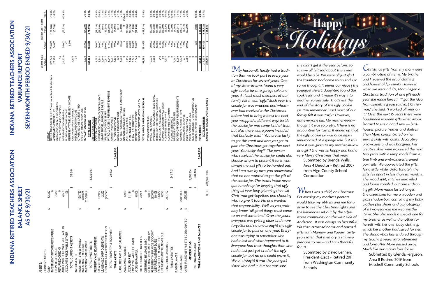*My husband's family had a tradition that we took part in every year at Christmas for several years. One of my sister-in-laws found a very ugly cookie jar at a garage sale one year. At least most members of our family felt it was "ugly." Each year the cookie jar was wrapped and whomever had received it the Christmas before had to bring it back the next year wrapped a different way. Inside the cookie jar was some kind of treat but also there was a poem included that basically said: " You are so lucky to get this treat and also you get to plan the Christmas get together next year! You lucky dog!!" The person who received the cookie jar could also choose whom to present it to. It was always the last gift to be handed out. And I am sure by now you understand that no one wanted to get the gift of the cookie jar. The treats inside never quite made up for keeping that ugly thing all year long, planning the next Christmas get-together, and choosing who to give it too. No one wanted that responsibility. Well, as you probably know "all good things must come to an end sometime." Over the years, everyone was getting older and more forgetful and no one brought the ugly cookie jar to pass on one year. Everyone was trying to remember who had it last and what happened to it. Everyone had their thoughts that who had it last just got tired of the ugly cookie jar, but no one could prove it. We all thought it was the youngest sister who had it, but she was sure* 

100.0%<br>32%<br>3.7%

*she didn't get it the year before. To* 

*say we all felt sad about this event would be a lie. We were all just glad the tradition had come to an end. Or so we thought. It seems our niece ( the youngest sister's daughter) found the cookie jar and it made it's way into another garage sale. That's not the end of the story of the ugly cookie jar. You remember I said most of our family felt it was "ugly". However, not everyone did. My mother-in-law thought it was so pretty. (There is no accounting for taste). It ended up that the ugly cookie jar was once again repurchased at a garage sale, but this time it was given to my mother-in-law as a gift! She was so happy and had a very Merry Christmas that year!* Submitted by Brenda Walls, Area 4 Director - Retired 2007 from Vigo County School

Corporation

*When I was a child, on Christmas Eve evening my mother's parents would take my siblings and me for a drive to see the Christmas lights and the luminaries set out by the Edgewood community on the west side of Anderson. It was always so beautiful! We then returned home and opened gifts with Mamaw and Papaw. Sixty years later, that memory is still very precious to me – and I am thankful for it!* 

Submitted by David Lennen, President-Elect - Retired 2011 from Washington Community Schools

*Christmas gifts from my mom were a combination of items. My brother and I received the usual clothing and household presents. However, when we were adults, Mom began a Christmas tradition of one gift each year she made herself. "I got the idea from something you said last Christmas," she said. "I worked all year on it." Over the next 15 years there were handmade wooden gifts when Mom learned to use a band saw — birdhouses, picture frames and shelves. Then Mom concentrated on her sewing skills with quilts, decorative pillowcases and wall hangings. Her creative skills were expressed the next two years with a lamp made from a tree limb and embroidered framed portraits. We appreciated the gifts, for a little while. Unfortunately the gifts fell apart in less than six months. The wood split, stitches unraveled and lamps toppled. But one endearing gift Mom made lasted longer. She assembled for me a wooden and glass shadowbox, containing my baby clothes plus shoes and a photograph of a two-year-old me wearing the items. She also made a special one for my brother as well and another for herself with her own baby clothing, which her mother had saved for her. The shadowbox has endured through my teaching years, into retirement and long after Mom passed away. Much like our mom's love for us.*

# **INDIANA RETIRED TEACHERS ASSOCIATION**  INDIANA RETIRED TEACHERS ASSOCIATION  $AS$  OF 9/30/71 **BALANCE SHEET BALANCE SHEET** AS OF 9/30/21 **AS OF 9/30/21** BALANCE SHEET

Submitted By Glenda Ferguson, Area 8 Retired 2019 from Mitchell Community Schools

| Var-%                          | $-19.8%$<br>$-16.2%$<br>(5, 520)                                                                                                                                                                    | $-139.3%$                                                                           | $-76.3%$                                                                                                | $-33.2%$                                  | $-73.8%$<br>$-70.5%$                              | $-11.3%$<br>$-73.9%$<br>(454)                          | $-73.8%$<br>$-77.1%$                                  | $-78.9%$<br>$-37.1%$<br>(7, 105)<br>(371) | $-71.4%$<br>(2,498)                   | $-63.8%$<br>#DIV/0!<br>$\circ$           | $-54.3%$<br>40.4%<br>(5,459)              | $-76.4%$                                                 | $-71.6%$                        | -83.2%                                 | $-69.4%$<br>$-100.0\%$                                           | $-99.0\%$<br>$-99.7%$                                  | $-66.5%$<br>(3,326) | $-100.0\%$<br>$-100.0\%$<br>(1,500)<br>(6,000) | $-70.1%$<br>(4, 203) | $-73.1%$<br>47.9%                                      | $-93.2%$<br>(3, 773) | $-75.0%$                                  |                                 | $-100.0\%$<br>$-78.2%$<br>(500)          | $-73.7%$                                                |
|--------------------------------|-----------------------------------------------------------------------------------------------------------------------------------------------------------------------------------------------------|-------------------------------------------------------------------------------------|---------------------------------------------------------------------------------------------------------|-------------------------------------------|---------------------------------------------------|--------------------------------------------------------|-------------------------------------------------------|-------------------------------------------|---------------------------------------|------------------------------------------|-------------------------------------------|----------------------------------------------------------|---------------------------------|----------------------------------------|------------------------------------------------------------------|--------------------------------------------------------|---------------------|------------------------------------------------|----------------------|--------------------------------------------------------|----------------------|-------------------------------------------|---------------------------------|------------------------------------------|---------------------------------------------------------|
| Budget-year-to-date<br>Var-amt | (129, 960)                                                                                                                                                                                          | (76, 633)                                                                           | (57, 230)                                                                                               | (274, 576)                                | (41, 318)<br>(21, 156)                            | (199, 583)                                             | (60, 903)<br>(23, 255)                                |                                           |                                       | (16, 585)                                | (13, 575)                                 | (11, 456)                                                | (403, 718)                      | (49, 922)                              | (15,000)<br>(17, 338)                                            | $(20, 781)$<br>$(15, 200)$                             |                     |                                                |                      | (21, 941)<br>(16, 271)                                 |                      | (29, 250)                                 |                                 | (205, 004)                               | (608, 722)<br>334,146                                   |
| Amount                         | 34,000<br>655,000                                                                                                                                                                                   | 5,500<br>1,300<br>55,000                                                            | 75,000                                                                                                  | 825,800                                   | 56,000<br>30,000                                  | 4,000<br>270,000                                       | 31,500<br>79,000                                      | 9,000<br>1,000                            | 3,500                                 | $\circ$<br>26,000                        | 25,000<br>13,500                          | 15,000                                                   | 563,500                         | 60,000                                 | 15,000<br>25,000                                                 | 21,000<br>15,250                                       | 5,000               | 1,500<br>6,000                                 | 6,000                | 30,000<br>34,000                                       | 4,050                | 39,000                                    |                                 | 500<br>262,300                           | $\bullet$<br>825,800                                    |
| Year-to-date<br>Amount         | 28,480<br>$\overline{30}$<br>525,040                                                                                                                                                                | (21, 633)<br>1,500                                                                  | 38<br>17,770                                                                                            | 551,224                                   | 14,682<br>8,844                                   | 3,546<br>70,417                                        | 8,245<br>18,097                                       | 1,895<br>629                              | 1,002                                 | 9,415                                    | 11,425<br>8,041                           | 3,544<br>$\circ$                                         | 159,782                         | 10,078                                 | 7,662                                                            | 219<br>50                                              | 1,674               |                                                | 1,797                | 8,059<br>17,729                                        | 277                  | $\circ$<br>9,750                          | $\circ$<br>$\circ$              | 57,296                                   | 217,078<br>334,146                                      |
|                                | REGULAR MEMBER DUES * Does not include Life Members<br>GAIN/(LOSS) ON SALE-SECURITIES<br><b>TCU INTEREST-ASSOCIATION</b><br>ASSOCIATE MEMBER DUES<br><b>INVESTMENT INCOME-TOTAL</b><br><b>NCOME</b> | FLORIDA MEETINGS INCOME<br>REPRESENTATIVE ASSEMBLY INCOME<br>FALL WORKSHOPS REVENUE | OTHER INCOME-CREDIT CARD<br>ROYALTY ENDORSEMENT FEE<br>SALE OF IRTA MERCHANDISE<br>MISCELLANEOUS INCOME | OFFICE OPERATIONS:<br><b>TOTAL INCOME</b> | INFORMATION TECHNOLOGY & MAINT.<br>OCCUPANCY-RENT | STAFF TRAVEL, PARKING & MEALS<br>SALARIES-OFFICE STAFF | PAYROLL TAXES & RETIREMENT EXPENSE<br>GROUP INSURANCE | DUES & SUBSCRIPTIONS<br>OTHER INSURANCE   | OFFICE, PAYROLL SERVICES, & OTHER EXP | UNFORSEEABLE EXPENSES<br>POSTAGE EXPENSE | LEGAL & ACCOUNTING<br>PRINTING & SUPPLIES | DISCOUNT ON RETIREMENT LIABILITY<br>DEPRECIATION EXPENSE | TOTAL OFFICE OPERATIONS EXPENSE | PROGRAM EXPENSES:<br>MARKETING EXPENSE | NVESTMENT MANAGEMENT FEES-TOTAL<br>UNDESIGNATED PROGRAM EXPENSES | SUMMER LEADERSHIP/FALL WKSH<br>REPRESENTATIVE ASSEMBLY | COMMITTEE WORKSHOPS | COMMITTEE MEETING/OTHER<br>FLORIDA MEETINGS    | PRESIDENT'S EXPENSES | BOARD OFFICERS REIMBURSEMENTS<br>QUARTERLY NEWSLETTERS | LEGISLATIVE EXPENSE  | MERCHANDISE FOR SALE<br>LOBBYING SERVICES | CONTRIBUTIONS TO THE FOUNDATION | LOCAL CHAPTER DEVELOPMENT<br>TOTAL OTHER | EXCESS OF INCOME OVER EXPENSES<br><b>TOTAL EXPENSES</b> |
|                                |                                                                                                                                                                                                     | $\overline{9}$                                                                      |                                                                                                         | 5                                         |                                                   |                                                        |                                                       | 3,642,193<br>ക                            |                                       |                                          |                                           |                                                          |                                 |                                        |                                                                  |                                                        |                     | S                                              |                      |                                                        |                      |                                           |                                 | 3,642,193<br>↮                           |                                                         |
|                                |                                                                                                                                                                                                     | 74,54                                                                               |                                                                                                         | 3,539,01                                  |                                                   |                                                        | 28,632                                                |                                           |                                       |                                          |                                           |                                                          |                                 |                                        |                                                                  |                                                        |                     | 241,713                                        |                      |                                                        |                      | 3,066,334                                 | 334,146                         |                                          | $test(must = 0)$                                        |
|                                |                                                                                                                                                                                                     |                                                                                     |                                                                                                         |                                           |                                                   |                                                        |                                                       |                                           |                                       |                                          |                                           |                                                          |                                 |                                        |                                                                  |                                                        |                     |                                                |                      |                                                        |                      |                                           |                                 |                                          |                                                         |
|                                | 7,450<br>4,588<br>62,312<br>$\circ$<br>$\circ$                                                                                                                                                      | ↮<br>196                                                                            | 540,565<br>799,689<br>198,760                                                                           | ↮                                         | 102,067                                           | (75, 727)<br>2,292                                     | ↮                                                     |                                           |                                       | 5,939                                    | 11,134                                    | 6,858<br>23,931                                          | $\circ$                         | (22, 638)<br>88,000                    | 19,498                                                           | 126,652<br>6,270                                       | 217,782             | ↮                                              |                      | 2,841,098                                              | 225,236              |                                           | ↮<br>↔                          |                                          | $\frac{8}{2}$                                           |
|                                | ↮                                                                                                                                                                                                   |                                                                                     | ↮                                                                                                       |                                           | ↮                                                 |                                                        |                                                       |                                           |                                       | မာ                                       |                                           |                                                          | ↮                               |                                        |                                                                  |                                                        | ↮                   |                                                |                      | ↮                                                      | ↔                    |                                           |                                 |                                          |                                                         |



INDIANA RETIRED TEACHERS ASSOCIATION

 $-19.8\%$ <br> $-16.2\%$ 

**INDIANA RETIRED TEACHERS ASSOCIATION** 

INDIANA RETIRED TEACHERS ASSOCIATION

**VARIANCE REPORT**

**VARIANCE REPORT** 

**SEVEN-MONTH PERIOD ENDED 9/30/21**

SEVEN-MONTH PERIOD ENDED 9/30/21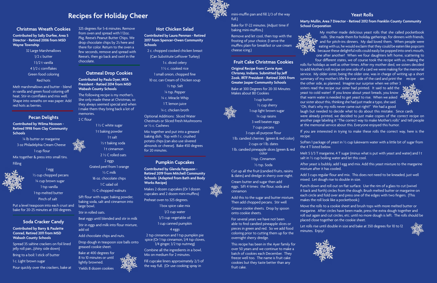# **Recipes for Holiday Cheer**

## **Christmas Wreath Cookies**

**Contributed by Sally Durfee, Area 5 Director - Retired 2006 from MSD Wayne Township**

- 32 Large Marshmallows
	- 1/2 c butter
	- 1 1/2 t vanilla
- 4 1/2 c cornflakes
- Green food coloring
	- Red hots

Melt marshmallows and butter - blend in vanilla and green food coloring off heat. Stir-in cornflakes and mix well. Shape into wreaths on wax paper. Add red hots as berries.

## **Pecan Delights**

#### **Contributed by Wilma Nicoson - Retired 1998 from Clay Community Schools**

¼ lb butter or margarine 3 oz Philadelphia Cream Cheese 1 cup flour

Mix together & press into small tins. Filling



1 egg  $\frac{1}{2}$  cup chopped pecans ¾ cup brown sugar 1 tsp vanilla 1 tsp melted butter

Pinch of salt

Put a level teaspoon into each crust and bake for 20-25 minutes at 350 degrees.

## **Soda Cracker Candy**

1 1/2 C white sugar 1 t baking powder

#### **Contributed by Barry & Paulette Conrad, Retired 2011 from MSD Wabash County Schools**

2 eggs Grated peel from 1 orange  $\frac{1}{2}$  C milk

16 oz. chocolate chips 1 C salad oil

Spread 35 saltine crackers on foil lined jelly roll pan…(shiny side down) Bring to a boil: 1 stick of butter

1 c. Light brown sugar

Pour quickly over the crackers, bake at

Bake at 400 degrees for 8 to 10 minutes or until lightly browned.

325 degrees for 5-6 minutes. Remove from oven and spread with 1 12oz. Pkg. Reese's Peanut Butter Chips. We drop chocolate chips by 2's here and there for color. Return to the oven a few seconds, remove and spread with Reese's, then go back and swirl in the chocolate.

# **Oatmeal Drop Cookies**

#### **Contributed by Paula Dyer, IRTA President - Retied 2014 from MSD Wabash County Schools**

The following recipe is my mother's. She only made these at Christmas, so they always seemed special and when I make them they bring back a lot of memories.

2 C flour

1 t salt ½ t baking soda 1 t cinnamon

2 ½ C rolled oats

½ C chopped walnuts

Sift flour with sugar, baking powder, baking soda, salt and cinnamon into large bowl.

Stir in rolled oats.

Beat eggs until blended and stir in milk

Stir in eggs and milk into flour mixture, add oil

Add chocolate chips and nuts.

Drop dough in teaspoon size balls onto greased cookie sheet.

Yields 8 dozen cookies



**Hot Chicken Salad Contributed by Laura Penman - Retired 2017 from Spencer-Owen Community** 

**Schools**

2 c. chopped cooked chicken breast (Can Substitute Leftover Turkey) 1 c. diced celery 1 <sup>1</sup>/<sub>2</sub> c. cooked rice 1 small onion, chopped fine 10 oz. can Cream of Chicken soup ½ tsp. Salt ¼ tsp. Pepper ¾ c. Miracle Whip 1 T. lemon juice ¼ c. chicken broth

My mother made delicious yeast rolls that she called pocketbook rolls. She made them for holiday gatherings, for dinners with friends, and for pitch-ins dinners. My dad loved them. When people were eating with us, he would exclaim that they could be eaten like popcorn because these delightful rolls could easily be popped into one's mouth, one after another! When we four daughters left home, scattering to four different states, we of course took the recipe with us, making the rolls for holidays as well as other times. After my mother died, we sisters decided to add Mother's roll recipe on one side of a card we were making for the memorial service. My older sister, being the older one, was in charge of writing up a short summary of my mother's life for one side of the card and print the recipe on

Optional Additions: Sliced Water Chestnuts or Sliced Fresh Mushrooms

or ½ c. Cashews

Mix together and put into a greased baking dish. Top with 1 c. crushed potato chips (can also use slivered almonds or cheese). Bake 450 degrees

for 20 minutes.

**Pumpkin Cupcakes** 

**Contributed by Glenda Ferguson - Retired 2019 from Mitchell Community** 





**Works Recipe)** 

Makes 2 dozen cupcakes (Or 1 dozen

cupcakes and 2 dozen mini-muffins)

Preheat oven to 325 degrees.

- 1 box spice cake mix
- 1/2 cup water 1/3 cup vegetable oil
- 1 cup canned pumpkin
	-

4 eggs

- 2 tsp cinnamon and 1 tsp pumpkin pie spice (Or 1 tsp cinnamon, 1/4 tsp cloves, 1/4 ginger, 1/2 tsp nutmeg)
- Combine all the ingredients in a bowl. Mix on medium for 2 minutes.

Fill cupcake liners approximately 2/3 of the way full. (Or use cooking spray in

mini-muffin pan and fill 2/3 of the way full.)

Bake for 17-22 minutes. (Adjust time if baking mini-muffins.)

Remove and let cool, then top with the frosting of your choice. (I serve the muffins plain for breakfast or use cream cheese icing.)

## **Fruit Cake Christmas Cookies**

**Original Recipe from Carrie Ayer, Chrisney, Indiana. Submitted by Jeff Zook, IRTF President - Retired 2005 from Greater Jasper Community Schools**

- Soften 1 package of yeast in  $\frac{1}{2}$  cup lukewarm water with a little bit of sugar from
- Melt 5 1/3 T margarine, 4 T sugar (minus what is put with yeast and water) and 1 t salt in  $\frac{1}{2}$  cup boiling water and let this cool.
- After yeast is bubbly, add 1 egg and mix. Add this yeast mixture to the margarine
- Add 3 cups regular flour and mix. This does not need to be kneaded, just well mixed. Let dough rise to double in size.
- Punch down and roll out on flat surface. Use the rim of a glass to cut (swivel it back and forth) circles from the dough. Brush melted butter or margarine on each circle and fold over and press one of the edges with two fingers. (This makes the roll look like a pocketbook.)
- Move the rolls to a cookie sheet and brush tops with more melted butter or margarine. After circles have been made, press the extra dough together and roll out again and cut circles, etc. until no more dough is left. The rolls should be placed close together on the cookie sheet.
- Let rolls rise until double in size and bake at 350 degrees for 10 to 12 minutes. Enjoy!





Bake at 300 Degrees for 20-30 Minutes Makes about 80 Cookies

> 1 cup butter  $\frac{1}{2}$  cup sherry 1 cup light brown sugar ¾ cup raisins 3 well beaten eggs

7 cups pecans 3 cups all purpose flour 1 lb. candied cherries (green & red color) 2 cups or 1 lb. dates 1 lb. candied pineapple slices (green & red

color 1 tsp. Cinnamon

½ tsp. Soda

Cut up all the fruit (candied fruits, raisins & dates) and dredge in sherry over night.

Cream butter and sugar then add eggs. Sift 4 times: the flour, soda and cinnamon

Add this to the sugar and butter mixture. Then add chopped pecans. Stir well

Grease cookie sheets. Drop by spoon onto cookie sheets.

For several years we have not been able to find candied pineapple slices or pieces in green and red. So we add food coloring prior to cutting them up for the overnight sherry dredge.

This recipe has been in the Ayer family for over 50 years and we continue to make a batch of cookies each December. They freeze well too. The name is fruit cake cookies but they taste better than any fruit cake.





## **Yeast Rolls**

#### **Marty Mullin, Area 7 Director - Retired 2012 from Franklin County Community School Corporation**

the other side, as planned. Imagine our surprise when we other 3 sisters read the recipe our sister had printed. It said to add the yeast to cold water! If you know about yeast breads, you know that warm water is needed to get yeast to rise. When we asked our sister about this, thinking she had just made a typo, she said. "Oh, that's why my rolls never came out right!" We had a good



laugh but needed to decide what to do about this mistake. Since cards were already printed, we decided to just make copies of the correct recipe on another page labeling it "The correct way to make Mother's rolls" and tell people at the memorial service about this. Everyone enjoyed this humor.

If you are interested in trying to make these rolls the correct way, here is the

recipe:

the 4 T listed below.

mixture after it has cooled.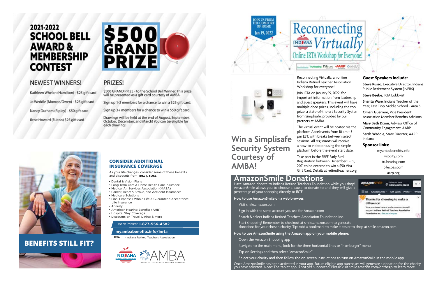# 2021-2022 **SCHOOL BELL AWARD & MEMBERSHIP CONTEST**

# **NEWEST WINNERS!**

Kathleen Whelan (Hamilton) - \$25 gift card Jo Weddle (Monroe/Owen) - \$25 gift card Nancy Durham (Ripley) - \$50 gift card Ilene Howard (Fulton) \$25 gift card

# **S500**<br>GRAND **PRIZE**

# PRIZES!

\$500 GRAND PRIZE - to the School Bell Winner. This prize will be presented as a gift card courtesy of AMBA.

Sign up 1-2 members for a chance to win a \$25 gift card.

Sign up 3+ members for a chance to win a \$50 gift card.

Drawings will be held at the end of August, September, October, December, and March! You can be eligible for each drawing!



#### **CONSIDER ADDITIONAL INSURANCE COVERAGE**

- Dental & Vision Plans
- Long Term Care & Home Health Care Insurance
- Medical Air Services Association (MASA)
- Cancer, Heart & Stroke, and Accident Insurances
- Medicare Solutions
- Final Expenses Whole Life & Guaranteed Acceptance Life Insurance
- Annuity
- American Hearing Benefits (AHB)
- Hospital Stay Coverage
- Discounts on Travel, Dining & more

# **BENEFITS STILL FIT?**



#### Learn More: **1-877-556-4582**

#### **myambabenefits.info/inrta**

**Win a Simplisafe Security System Courtesy of AMBA!**

Reconnecting Virtually, an online Indiana Retired Teacher Association Workshop for everyone!

Thatlearing Pile City AARP OAMBA

Join IRTA on January 19, 2022, for important information from leadership and guest speakers. This event will have multiple door prizes, including the top prize, a state-of-the-art Security System from Simplisafe, provided by our partners at AMBA. The virtual event will be hosted via the

platform Accelevents from 10 am - 3 pm EST, with breaks between select sessions. All registrants will receive a how-to video on using the simple platform before the event start date.

Take part in the FREE Early Bird Registration between December 1 - 15, 2021 to be entered to win a \$50 Visa Gift Card. Details at retiredteachers.org

Once AmazonSmile has been activated in your app, future eligible app purchases will generate a donation for the charity you have selected. Note: The tablet app is not yet supported. Please visit smile.amazon.com/onthego to learn more.



## **Guest Speakers include:**

**Steve Russo**, Executive Director, Indiana Public Retirement System (INPRS)

- Indiana Retired Teachers Association **IRTA**





**Steve Beebe**, IRTA Lobbyist



As your life changes, consider some of these benefits and discounts from **INRTA** & **AMBA**: **IRTA & AMBA**

**Sharita Ware**, Indiana Teacher of the Year, East Tipp Middle School - Area 3

**Omarr Guerrero**, Vice President, Association Member Benefits Advisors

**Mary Beth Dixon**, Advisor Office of Community Engagement, AARP

**Sarah Waddle,** State Director, AARP Indiana

#### **Sponsor links:**

myambabenefits.info vilocity.com truhearing.com pilecpas.com

aarp.org



# **AmazonSmile Donations**

Have Amazon donate to Indiana Retired Teachers Foundation while you shop! AmazonSmile allows you to choose a cause to donate to and they will give a percentage of your shopping directly to IRTF!

#### **How to use AmazonSmile on a web browser:**

Visit smile.amazon.com

Sign in with the same account you use for Amazon.com

Search & select Indiana Retired Teachers Association Foundation Inc.

Start shopping! Remember to checkout at smile.amazon.com to generate donations for your chosen charity. Tip: Add a bookmark to make it easier to shop at smile.amazon.com.

#### **How to use AmazonSmile using the Amazon app on your mobile phone:**

Open the Amazon Shopping app

Navigate to the main menu, look for the three horizontal lines or "hamburger" menu

Tap on Settings and then select "AmazonSmile"

Select your charity and then follow the on-screen instructions to turn on AmazonSmile in the mobile app